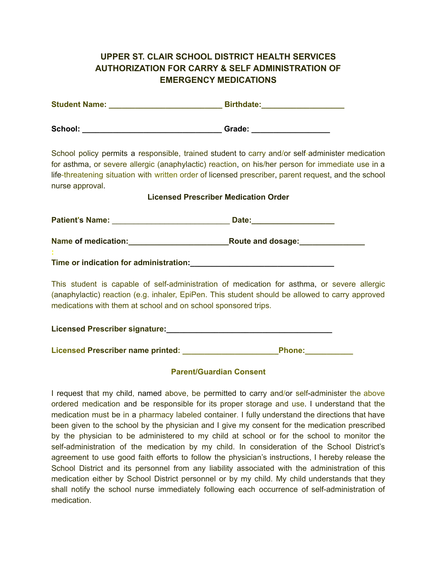## **UPPER ST. CLAIR SCHOOL DISTRICT HEALTH SERVICES AUTHORIZATION FOR CARRY & SELF ADMINISTRATION OF EMERGENCY MEDICATIONS**

| <b>Student Name:</b> | <b>Birthdate:</b> |
|----------------------|-------------------|
| School:              | Grade:            |

School policy permits a responsible, trained student to carry and/or self-administer medication for asthma, or severe allergic (anaphylactic) reaction, on his/her person for immediate use in a life-threatening situation with written order of licensed prescriber, parent request, and the school nurse approval.

## **Licensed Prescriber Medication Order**

| <b>Patient's Name:</b>                 | Date:             |  |
|----------------------------------------|-------------------|--|
| Name of medication:                    | Route and dosage: |  |
| Time or indication for administration: |                   |  |

This student is capable of self-administration of medication for asthma, or severe allergic (anaphylactic) reaction (e.g. inhaler, EpiPen. This student should be allowed to carry approved medications with them at school and on school sponsored trips.

| <b>Licensed Prescriber signature:</b> |  |
|---------------------------------------|--|
|---------------------------------------|--|

**Licensed Prescriber name printed: \_\_\_\_\_\_\_\_\_\_\_\_\_\_\_\_\_\_\_\_\_\_Phone:\_\_\_\_\_\_\_\_\_\_\_**

## **Parent/Guardian Consent**

I request that my child, named above, be permitted to carry and/or self-administer the above ordered medication and be responsible for its proper storage and use. I understand that the medication must be in a pharmacy labeled container. I fully understand the directions that have been given to the school by the physician and I give my consent for the medication prescribed by the physician to be administered to my child at school or for the school to monitor the self-administration of the medication by my child. In consideration of the School District's agreement to use good faith efforts to follow the physician's instructions, I hereby release the School District and its personnel from any liability associated with the administration of this medication either by School District personnel or by my child. My child understands that they shall notify the school nurse immediately following each occurrence of self-administration of medication.